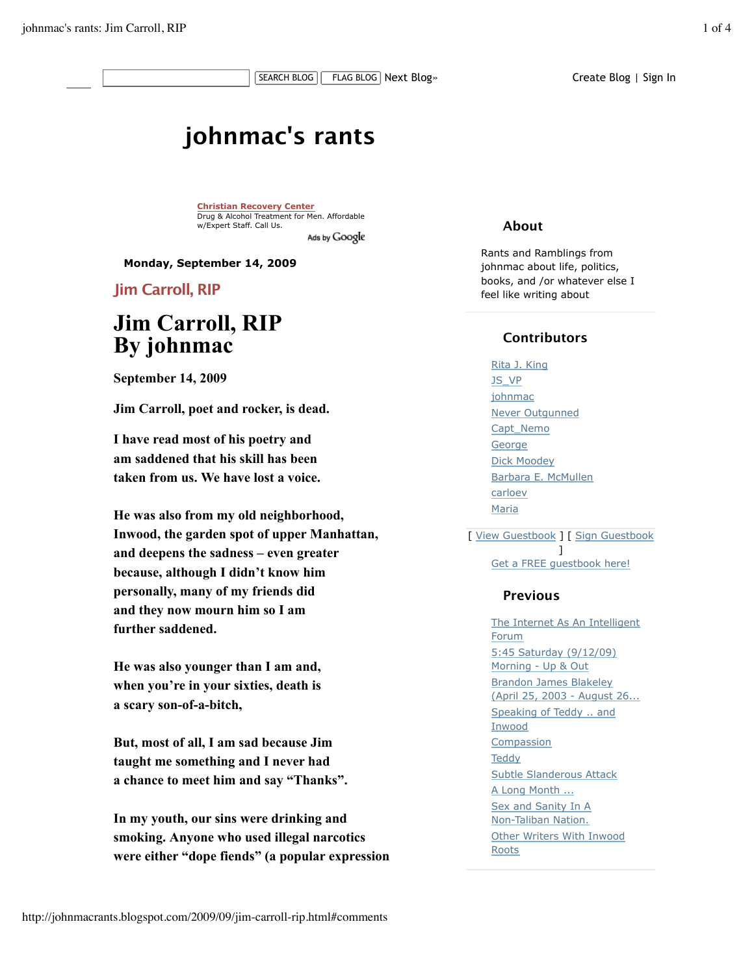# **johnmac's rants**

**Christian Recovery Center** Drug & Alcohol Treatment for Men. Affordable w/Expert Staff. Call Us. Ads by Google

**Monday, September 14, 2009**

**Jim Carroll, RIP**

# **Jim Carroll, RIP By johnmac**

**September 14, 2009**

**Jim Carroll, poet and rocker, is dead.**

**I have read most of his poetry and am saddened that his skill has been taken from us. We have lost a voice.**

**He was also from my old neighborhood, Inwood, the garden spot of upper Manhattan, and deepens the sadness – even greater because, although I didn't know him personally, many of my friends did and they now mourn him so I am further saddened.**

**He was also younger than I am and, when you're in your sixties, death is a scary son-of-a-bitch,**

**But, most of all, I am sad because Jim taught me something and I never had a chance to meet him and say "Thanks".**

**In my youth, our sins were drinking and smoking. Anyone who used illegal narcotics were either "dope fiends" (a popular expression**

### **About**

Rants and Ramblings from johnmac about life, politics, books, and /or whatever else I feel like writing about

# **Contributors**

Rita J. King JS\_VP johnmac Never Outgunned Capt\_Nemo **George** Dick Moodey Barbara E. McMullen carloev Maria

[ View Guestbook ] [ Sign Guestbook ]

Get a FREE guestbook here!

## **Previous**

The Internet As An Intelligent Forum 5:45 Saturday (9/12/09) Morning - Up & Out Brandon James Blakeley (April 25, 2003 - August 26... Speaking of Teddy .. and Inwood **Compassion Teddy** Subtle Slanderous Attack A Long Month ... Sex and Sanity In A Non-Taliban Nation. Other Writers With Inwood Roots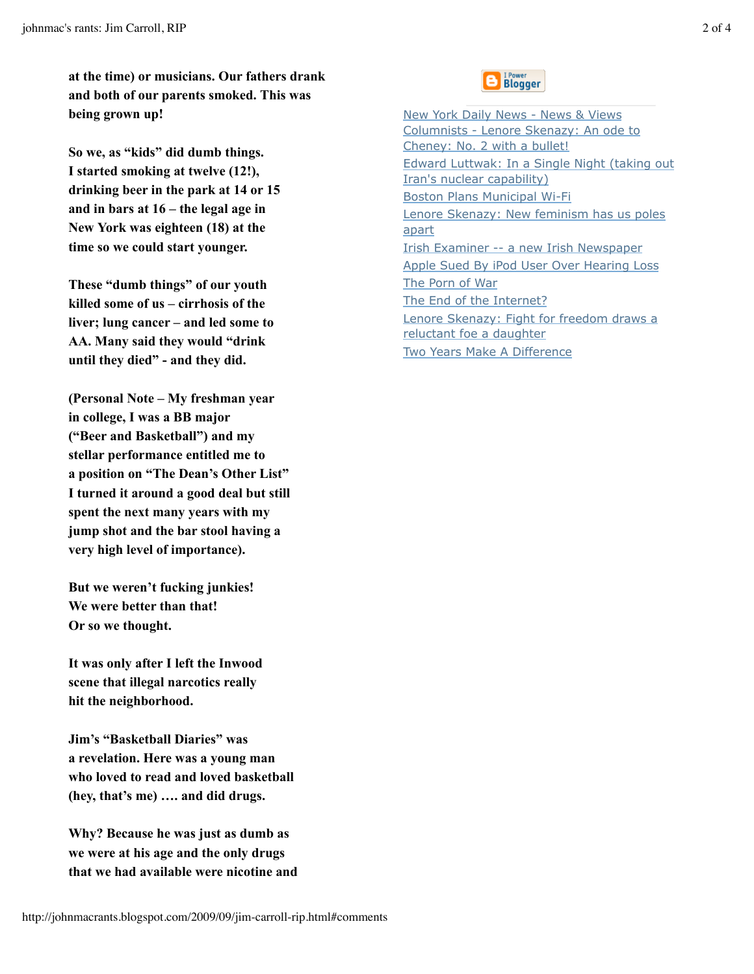**at the time) or musicians. Our fathers drank and both of our parents smoked. This was being grown up!**

**So we, as "kids" did dumb things. I started smoking at twelve (12!), drinking beer in the park at 14 or 15 and in bars at 16 – the legal age in New York was eighteen (18) at the time so we could start younger.**

**These "dumb things" of our youth killed some of us – cirrhosis of the liver; lung cancer – and led some to AA. Many said they would "drink until they died" - and they did.**

**(Personal Note – My freshman year in college, I was a BB major ("Beer and Basketball") and my stellar performance entitled me to a position on "The Dean's Other List" I turned it around a good deal but still spent the next many years with my jump shot and the bar stool having a very high level of importance).**

**But we weren't fucking junkies! We were better than that! Or so we thought.**

**It was only after I left the Inwood scene that illegal narcotics really hit the neighborhood.**

**Jim's "Basketball Diaries" was a revelation. Here was a young man who loved to read and loved basketball (hey, that's me) …. and did drugs.**

**Why? Because he was just as dumb as we were at his age and the only drugs that we had available were nicotine and**



New York Daily News - News & Views Columnists - Lenore Skenazy: An ode to Cheney: No. 2 with a bullet! Edward Luttwak: In a Single Night (taking out Iran's nuclear capability) Boston Plans Municipal Wi-Fi Lenore Skenazy: New feminism has us poles apart Irish Examiner -- a new Irish Newspaper Apple Sued By iPod User Over Hearing Loss The Porn of War The End of the Internet? Lenore Skenazy: Fight for freedom draws a reluctant foe a daughter Two Years Make A Difference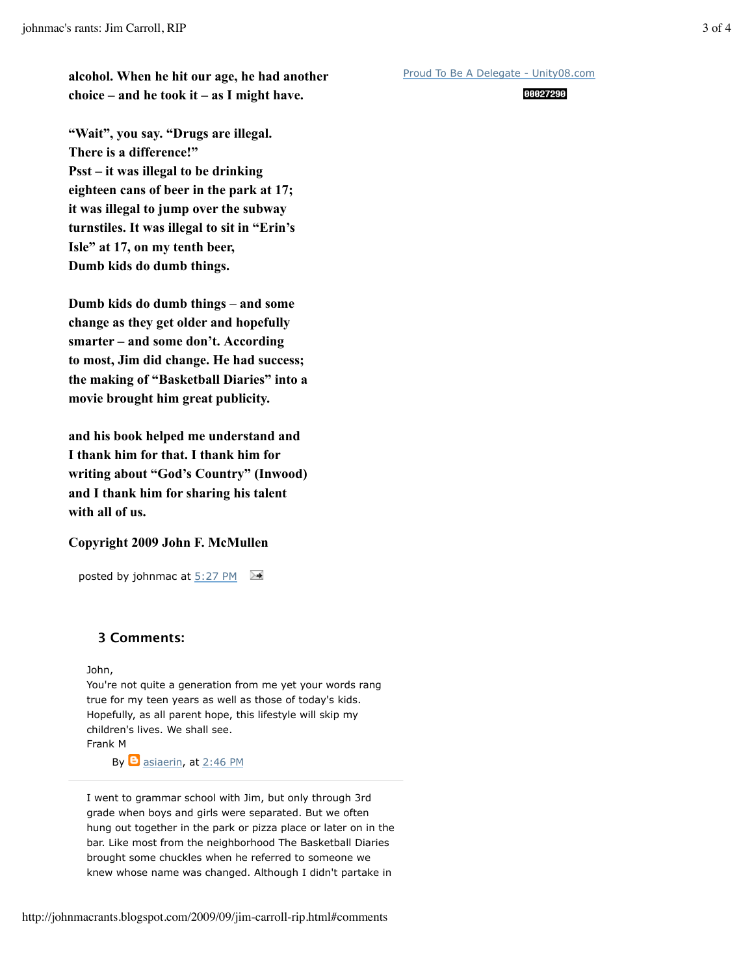**alcohol. When he hit our age, he had another choice – and he took it – as I might have.**

**"Wait", you say. "Drugs are illegal. There is a difference!" Psst – it was illegal to be drinking eighteen cans of beer in the park at 17; it was illegal to jump over the subway turnstiles. It was illegal to sit in "Erin's Isle" at 17, on my tenth beer, Dumb kids do dumb things.**

**Dumb kids do dumb things – and some change as they get older and hopefully smarter – and some don't. According to most, Jim did change. He had success; the making of "Basketball Diaries" into a movie brought him great publicity.**

**and his book helped me understand and I thank him for that. I thank him for writing about "God's Country" (Inwood) and I thank him for sharing his talent with all of us.**

#### **Copyright 2009 John F. McMullen**

posted by johnmac at 5:27 PM

#### **3 Comments:**

John,

You're not quite a generation from me yet your words rang true for my teen years as well as those of today's kids. Hopefully, as all parent hope, this lifestyle will skip my children's lives. We shall see. Frank M

By  $\Theta$  asiaerin, at 2:46 PM

I went to grammar school with Jim, but only through 3rd grade when boys and girls were separated. But we often hung out together in the park or pizza place or later on in the bar. Like most from the neighborhood The Basketball Diaries brought some chuckles when he referred to someone we knew whose name was changed. Although I didn't partake in

#### 00027290